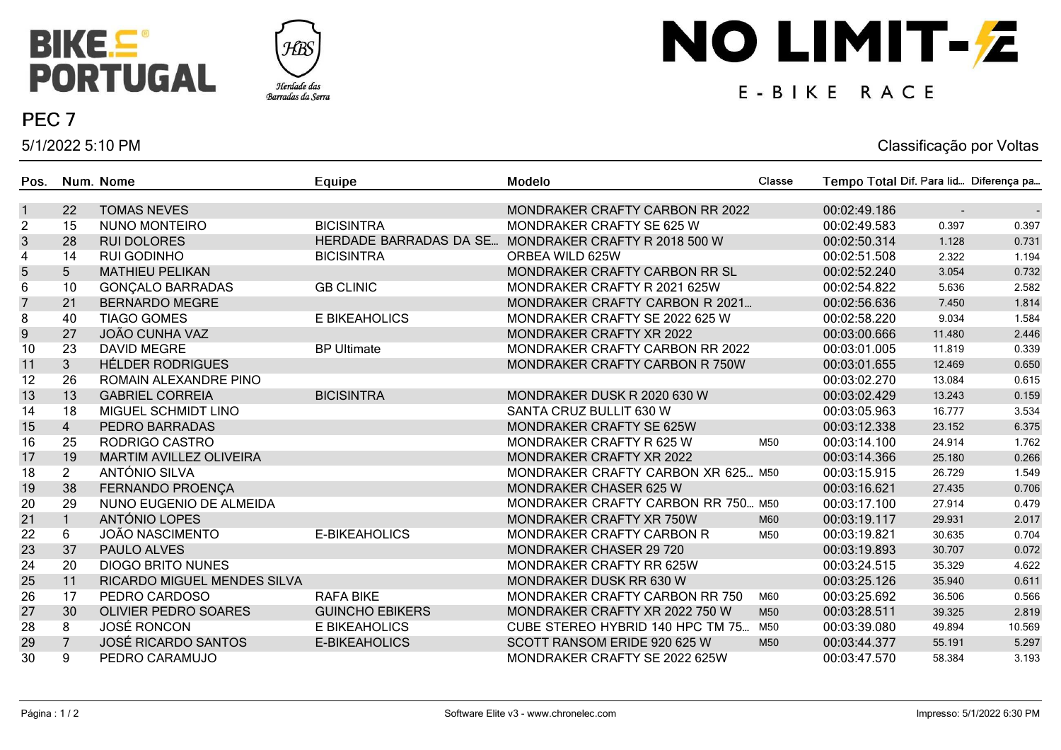



#### PEC<sub>7</sub>

5/1/2022 5:10 PM

# NO LIMIT-Z

### E-BIKE RACE

#### Classificação por Voltas

| Pos.             |                | Num. Nome                      | Equipe                 | Modelo                                 | Classe | Tempo Total Dif. Para lid Diferença pa |        |        |
|------------------|----------------|--------------------------------|------------------------|----------------------------------------|--------|----------------------------------------|--------|--------|
| $\mathbf{1}$     | 22             | <b>TOMAS NEVES</b>             |                        | <b>MONDRAKER CRAFTY CARBON RR 2022</b> |        | 00:02:49.186                           |        |        |
| $\boldsymbol{2}$ | 15             | <b>NUNO MONTEIRO</b>           | <b>BICISINTRA</b>      | MONDRAKER CRAFTY SE 625 W              |        | 00:02:49.583                           | 0.397  | 0.397  |
| $\mathbf{3}$     | 28             | <b>RUI DOLORES</b>             | HERDADE BARRADAS DA SE | MONDRAKER CRAFTY R 2018 500 W          |        | 00:02:50.314                           | 1.128  | 0.731  |
| 4                | 14             | <b>RUI GODINHO</b>             | <b>BICISINTRA</b>      | ORBEA WILD 625W                        |        | 00:02:51.508                           | 2.322  | 1.194  |
| 5                | 5              | <b>MATHIEU PELIKAN</b>         |                        | MONDRAKER CRAFTY CARBON RR SL          |        | 00:02:52.240                           | 3.054  | 0.732  |
| 6                | 10             | <b>GONÇALO BARRADAS</b>        | <b>GB CLINIC</b>       | MONDRAKER CRAFTY R 2021 625W           |        | 00:02:54.822                           | 5.636  | 2.582  |
| $\overline{7}$   | 21             | <b>BERNARDO MEGRE</b>          |                        | MONDRAKER CRAFTY CARBON R 2021         |        | 00:02:56.636                           | 7.450  | 1.814  |
| 8                | 40             | <b>TIAGO GOMES</b>             | E BIKEAHOLICS          | MONDRAKER CRAFTY SE 2022 625 W         |        | 00:02:58.220                           | 9.034  | 1.584  |
| $\boldsymbol{9}$ | 27             | <b>JOÃO CUNHA VAZ</b>          |                        | MONDRAKER CRAFTY XR 2022               |        | 00:03:00.666                           | 11.480 | 2.446  |
| 10               | 23             | <b>DAVID MEGRE</b>             | <b>BP Ultimate</b>     | MONDRAKER CRAFTY CARBON RR 2022        |        | 00:03:01.005                           | 11.819 | 0.339  |
| 11               | 3 <sup>1</sup> | <b>HÉLDER RODRIGUES</b>        |                        | MONDRAKER CRAFTY CARBON R 750W         |        | 00:03:01.655                           | 12.469 | 0.650  |
| 12               | 26             | ROMAIN ALEXANDRE PINO          |                        |                                        |        | 00:03:02.270                           | 13.084 | 0.615  |
| 13               | 13             | <b>GABRIEL CORREIA</b>         | <b>BICISINTRA</b>      | MONDRAKER DUSK R 2020 630 W            |        | 00:03:02.429                           | 13.243 | 0.159  |
| 14               | 18             | MIGUEL SCHMIDT LINO            |                        | SANTA CRUZ BULLIT 630 W                |        | 00:03:05.963                           | 16.777 | 3.534  |
| 15               | $\overline{4}$ | PEDRO BARRADAS                 |                        | MONDRAKER CRAFTY SE 625W               |        | 00:03:12.338                           | 23.152 | 6.375  |
| 16               | 25             | RODRIGO CASTRO                 |                        | MONDRAKER CRAFTY R 625 W               | M50    | 00:03:14.100                           | 24.914 | 1.762  |
| 17               | 19             | <b>MARTIM AVILLEZ OLIVEIRA</b> |                        | <b>MONDRAKER CRAFTY XR 2022</b>        |        | 00:03:14.366                           | 25.180 | 0.266  |
| 18               | $\overline{2}$ | ANTÓNIO SILVA                  |                        | MONDRAKER CRAFTY CARBON XR 625 M50     |        | 00:03:15.915                           | 26.729 | 1.549  |
| 19               | 38             | FERNANDO PROENÇA               |                        | <b>MONDRAKER CHASER 625 W</b>          |        | 00:03:16.621                           | 27.435 | 0.706  |
| 20               | 29             | NUNO EUGENIO DE ALMEIDA        |                        | MONDRAKER CRAFTY CARBON RR 750 M50     |        | 00:03:17.100                           | 27.914 | 0.479  |
| 21               | $\mathbf{1}$   | ANTÓNIO LOPES                  |                        | MONDRAKER CRAFTY XR 750W               | M60    | 00:03:19.117                           | 29.931 | 2.017  |
| 22               | 6              | JOÃO NASCIMENTO                | E-BIKEAHOLICS          | MONDRAKER CRAFTY CARBON R              | M50    | 00:03:19.821                           | 30.635 | 0.704  |
| 23               | 37             | PAULO ALVES                    |                        | <b>MONDRAKER CHASER 29 720</b>         |        | 00:03:19.893                           | 30.707 | 0.072  |
| 24               | 20             | <b>DIOGO BRITO NUNES</b>       |                        | MONDRAKER CRAFTY RR 625W               |        | 00:03:24.515                           | 35.329 | 4.622  |
| 25               | 11             | RICARDO MIGUEL MENDES SILVA    |                        | MONDRAKER DUSK RR 630 W                |        | 00:03:25.126                           | 35.940 | 0.611  |
| 26               | 17             | PEDRO CARDOSO                  | <b>RAFA BIKE</b>       | MONDRAKER CRAFTY CARBON RR 750         | M60    | 00:03:25.692                           | 36.506 | 0.566  |
| 27               | 30             | <b>OLIVIER PEDRO SOARES</b>    | <b>GUINCHO EBIKERS</b> | MONDRAKER CRAFTY XR 2022 750 W         | M50    | 00:03:28.511                           | 39.325 | 2.819  |
| 28               | 8              | <b>JOSÉ RONCON</b>             | E BIKEAHOLICS          | CUBE STEREO HYBRID 140 HPC TM 75       | M50    | 00:03:39.080                           | 49.894 | 10.569 |
| 29               | $\overline{7}$ | <b>JOSÉ RICARDO SANTOS</b>     | <b>E-BIKEAHOLICS</b>   | SCOTT RANSOM ERIDE 920 625 W           | M50    | 00:03:44.377                           | 55.191 | 5.297  |
| 30               | 9              | PEDRO CARAMUJO                 |                        | MONDRAKER CRAFTY SE 2022 625W          |        | 00:03:47.570                           | 58.384 | 3.193  |